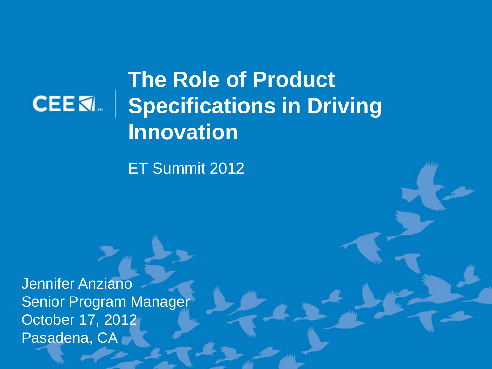### **CEEK**

### **The Role of Product Specifications in Driving Innovation**

ET Summit 2012

Jennifer Anziano Senior Program Manager October 17, 2012 Pasadena, CA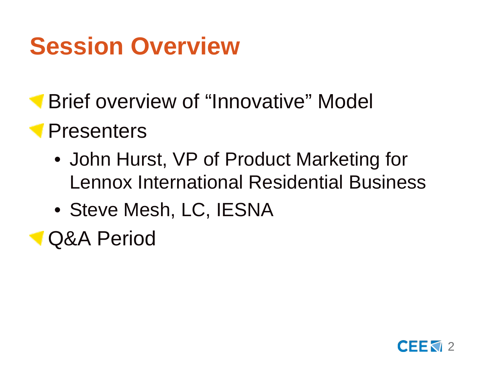## **Session Overview**

**Brief overview of "Innovative" Model** 

### **Presenters**

- John Hurst, VP of Product Marketing for Lennox International Residential Business
- Steve Mesh, LC, IESNA
- Q&A Period

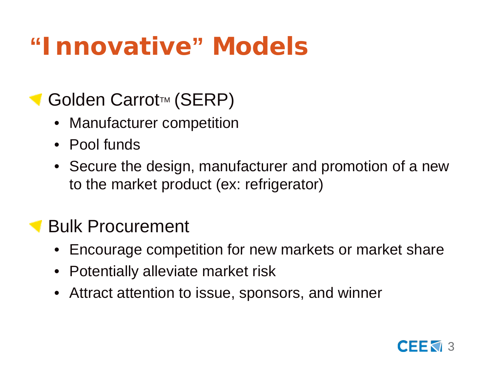# **"Innovative" Models**

#### Golden Carrot™ (SERP)

- Manufacturer competition
- Pool funds
- Secure the design, manufacturer and promotion of a new to the market product (ex: refrigerator)

#### Bulk Procurement

- Encourage competition for new markets or market share
- Potentially alleviate market risk
- Attract attention to issue, sponsors, and winner

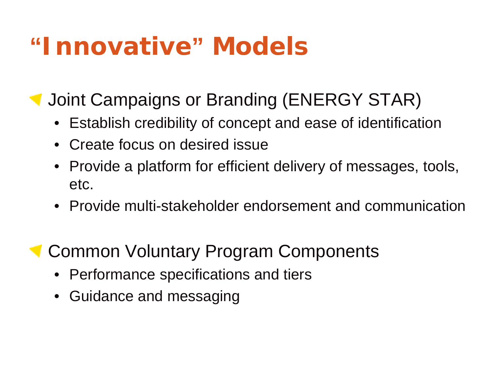### **"Innovative" Models**

Joint Campaigns or Branding (ENERGY STAR)

- Establish credibility of concept and ease of identification
- Create focus on desired issue
- Provide a platform for efficient delivery of messages, tools, etc.
- Provide multi-stakeholder endorsement and communication
- **Common Voluntary Program Components** 
	- Performance specifications and tiers
	- Guidance and messaging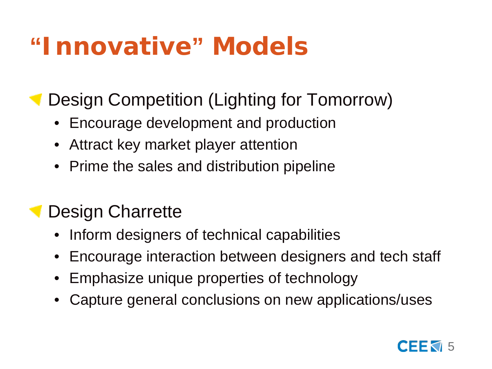## **"Innovative" Models**

Design Competition (Lighting for Tomorrow)

- Encourage development and production
- Attract key market player attention
- Prime the sales and distribution pipeline

#### Design Charrette

- Inform designers of technical capabilities
- Encourage interaction between designers and tech staff
- Emphasize unique properties of technology
- Capture general conclusions on new applications/uses

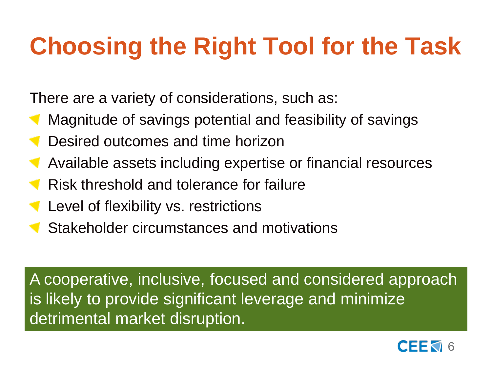# **Choosing the Right Tool for the Task**

There are a variety of considerations, such as:

- Magnitude of savings potential and feasibility of savings
- Desired outcomes and time horizon
- Available assets including expertise or financial resources
- Risk threshold and tolerance for failure
- Level of flexibility vs. restrictions
- Stakeholder circumstances and motivations

A cooperative, inclusive, focused and considered approach is likely to provide significant leverage and minimize detrimental market disruption.